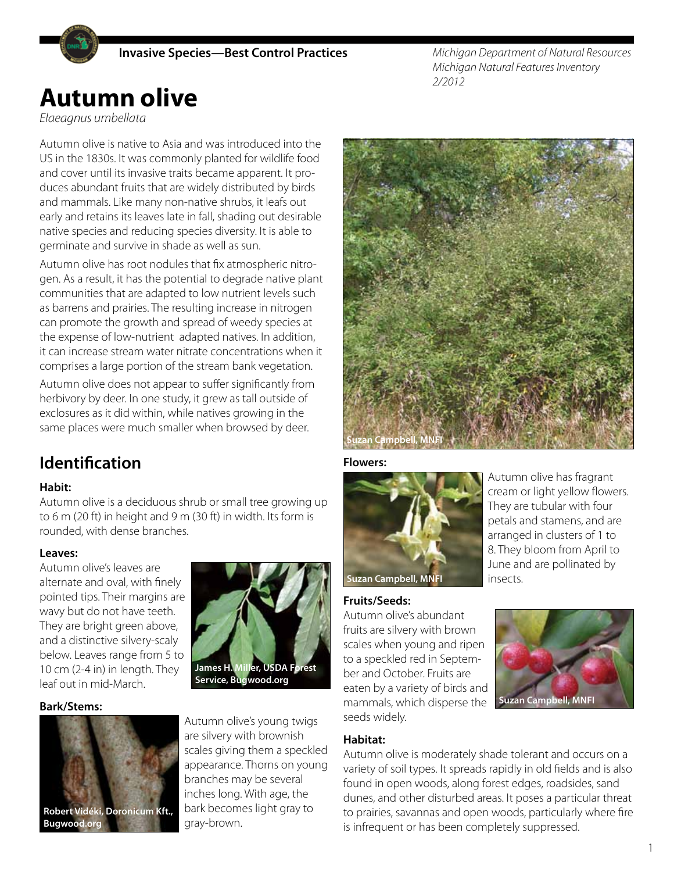

*Michigan Department of Natural Resources Michigan Natural Features Inventory 2/2012*

# **Autumn olive**

*Elaeagnus umbellata*

Autumn olive is native to Asia and was introduced into the US in the 1830s. It was commonly planted for wildlife food and cover until its invasive traits became apparent. It produces abundant fruits that are widely distributed by birds and mammals. Like many non-native shrubs, it leafs out early and retains its leaves late in fall, shading out desirable native species and reducing species diversity. It is able to germinate and survive in shade as well as sun.

Autumn olive has root nodules that fix atmospheric nitrogen. As a result, it has the potential to degrade native plant communities that are adapted to low nutrient levels such as barrens and prairies. The resulting increase in nitrogen can promote the growth and spread of weedy species at the expense of low-nutrient adapted natives. In addition, it can increase stream water nitrate concentrations when it comprises a large portion of the stream bank vegetation.

Autumn olive does not appear to suffer significantly from herbivory by deer. In one study, it grew as tall outside of exclosures as it did within, while natives growing in the same places were much smaller when browsed by deer.

## **Identification**

#### **Habit:**

Autumn olive is a deciduous shrub or small tree growing up to 6 m (20 ft) in height and 9 m (30 ft) in width. Its form is rounded, with dense branches.

#### **Leaves:**

Autumn olive's leaves are alternate and oval, with finely pointed tips. Their margins are wavy but do not have teeth. They are bright green above, and a distinctive silvery-scaly below. Leaves range from 5 to 10 cm (2-4 in) in length. They leaf out in mid-March.

#### **Bark/Stems:**





Autumn olive's young twigs are silvery with brownish scales giving them a speckled appearance. Thorns on young branches may be several inches long. With age, the bark becomes light gray to gray-brown.



#### **Flowers:**



Autumn olive has fragrant cream or light yellow flowers. They are tubular with four petals and stamens, and are arranged in clusters of 1 to 8. They bloom from April to June and are pollinated by insects.

**Suzan Campbell, MNFI**

#### **Fruits/Seeds:**

Autumn olive's abundant fruits are silvery with brown scales when young and ripen to a speckled red in September and October. Fruits are eaten by a variety of birds and mammals, which disperse the seeds widely.

#### **Habitat:**

Autumn olive is moderately shade tolerant and occurs on a variety of soil types. It spreads rapidly in old fields and is also found in open woods, along forest edges, roadsides, sand dunes, and other disturbed areas. It poses a particular threat to prairies, savannas and open woods, particularly where fire is infrequent or has been completely suppressed.

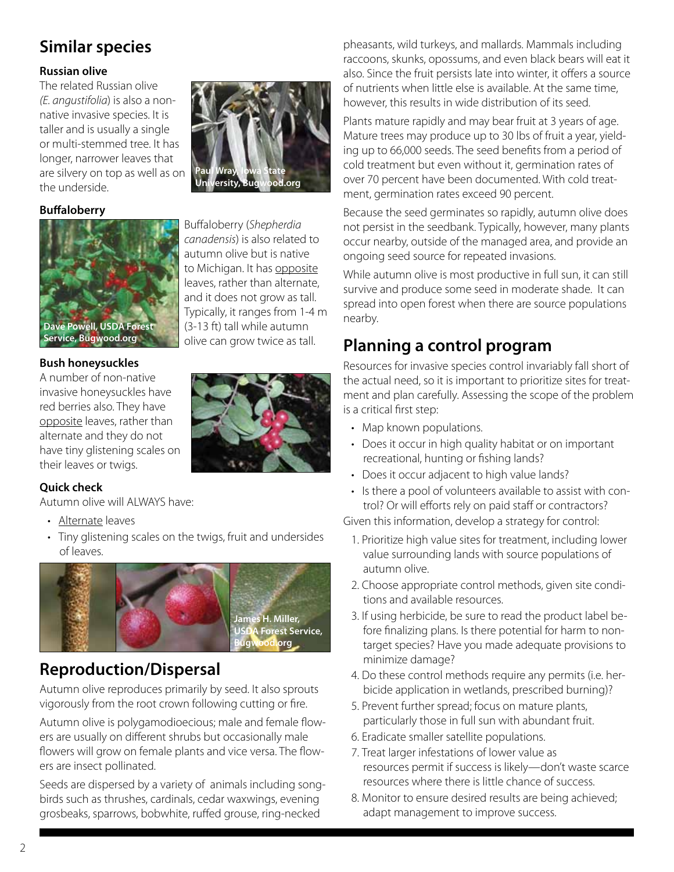## **Similar species**

#### **Russian olive**

The related Russian olive *(E. angustifolia*) is also a nonnative invasive species. It is taller and is usually a single or multi-stemmed tree. It has longer, narrower leaves that are silvery on top as well as on the underside.

#### **Buffaloberry**



Buffaloberry (*Shepherdia canadensis*) is also related to autumn olive but is native to Michigan. It has opposite leaves, rather than alternate, and it does not grow as tall. Typically, it ranges from 1-4 m (3-13 ft) tall while autumn olive can grow twice as tall.

**Paul Wray, Iowa State University, Bugwood.org**

#### **Bush honeysuckles**

A number of non-native invasive honeysuckles have red berries also. They have opposite leaves, rather than alternate and they do not have tiny glistening scales on their leaves or twigs.



#### **Quick check**

Autumn olive will ALWAYS have:

- Alternate leaves
- Tiny glistening scales on the twigs, fruit and undersides of leaves.



## **Reproduction/Dispersal**

Autumn olive reproduces primarily by seed. It also sprouts vigorously from the root crown following cutting or fire.

Autumn olive is polygamodioecious; male and female flowers are usually on different shrubs but occasionally male flowers will grow on female plants and vice versa. The flowers are insect pollinated.

Seeds are dispersed by a variety of animals including songbirds such as thrushes, cardinals, cedar waxwings, evening grosbeaks, sparrows, bobwhite, ruffed grouse, ring-necked

pheasants, wild turkeys, and mallards. Mammals including raccoons, skunks, opossums, and even black bears will eat it also. Since the fruit persists late into winter, it offers a source of nutrients when little else is available. At the same time, however, this results in wide distribution of its seed.

Plants mature rapidly and may bear fruit at 3 years of age. Mature trees may produce up to 30 lbs of fruit a year, yielding up to 66,000 seeds. The seed benefits from a period of cold treatment but even without it, germination rates of over 70 percent have been documented. With cold treatment, germination rates exceed 90 percent.

Because the seed germinates so rapidly, autumn olive does not persist in the seedbank. Typically, however, many plants occur nearby, outside of the managed area, and provide an ongoing seed source for repeated invasions.

While autumn olive is most productive in full sun, it can still survive and produce some seed in moderate shade. It can spread into open forest when there are source populations nearby.

## **Planning a control program**

Resources for invasive species control invariably fall short of the actual need, so it is important to prioritize sites for treatment and plan carefully. Assessing the scope of the problem is a critical first step:

- Map known populations.
- Does it occur in high quality habitat or on important recreational, hunting or fishing lands?
- Does it occur adjacent to high value lands?
- Is there a pool of volunteers available to assist with control? Or will efforts rely on paid staff or contractors?

Given this information, develop a strategy for control:

- 1. Prioritize high value sites for treatment, including lower value surrounding lands with source populations of autumn olive.
- 2. Choose appropriate control methods, given site conditions and available resources.
- 3. If using herbicide, be sure to read the product label before finalizing plans. Is there potential for harm to nontarget species? Have you made adequate provisions to minimize damage?
- 4. Do these control methods require any permits (i.e. herbicide application in wetlands, prescribed burning)?
- 5. Prevent further spread; focus on mature plants, particularly those in full sun with abundant fruit.
- 6. Eradicate smaller satellite populations.
- 7. Treat larger infestations of lower value as resources permit if success is likely—don't waste scarce resources where there is little chance of success.
- 8. Monitor to ensure desired results are being achieved; adapt management to improve success.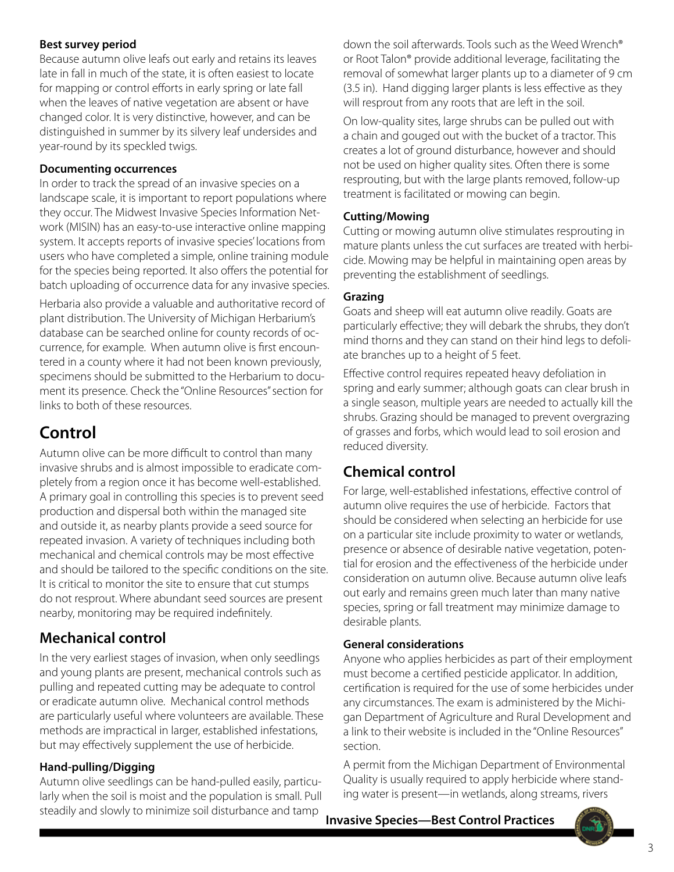#### **Best survey period**

Because autumn olive leafs out early and retains its leaves late in fall in much of the state, it is often easiest to locate for mapping or control efforts in early spring or late fall when the leaves of native vegetation are absent or have changed color. It is very distinctive, however, and can be distinguished in summer by its silvery leaf undersides and year-round by its speckled twigs.

#### **Documenting occurrences**

In order to track the spread of an invasive species on a landscape scale, it is important to report populations where they occur. The Midwest Invasive Species Information Network (MISIN) has an easy-to-use interactive online mapping system. It accepts reports of invasive species' locations from users who have completed a simple, online training module for the species being reported. It also offers the potential for batch uploading of occurrence data for any invasive species.

Herbaria also provide a valuable and authoritative record of plant distribution. The University of Michigan Herbarium's database can be searched online for county records of occurrence, for example. When autumn olive is first encountered in a county where it had not been known previously, specimens should be submitted to the Herbarium to document its presence. Check the "Online Resources" section for links to both of these resources.

## **Control**

Autumn olive can be more difficult to control than many invasive shrubs and is almost impossible to eradicate completely from a region once it has become well-established. A primary goal in controlling this species is to prevent seed production and dispersal both within the managed site and outside it, as nearby plants provide a seed source for repeated invasion. A variety of techniques including both mechanical and chemical controls may be most effective and should be tailored to the specific conditions on the site. It is critical to monitor the site to ensure that cut stumps do not resprout. Where abundant seed sources are present nearby, monitoring may be required indefinitely.

### **Mechanical control**

In the very earliest stages of invasion, when only seedlings and young plants are present, mechanical controls such as pulling and repeated cutting may be adequate to control or eradicate autumn olive. Mechanical control methods are particularly useful where volunteers are available. These methods are impractical in larger, established infestations, but may effectively supplement the use of herbicide.

#### **Hand-pulling/Digging**

Autumn olive seedlings can be hand-pulled easily, particularly when the soil is moist and the population is small. Pull steadily and slowly to minimize soil disturbance and tamp

down the soil afterwards. Tools such as the Weed Wrench® or Root Talon® provide additional leverage, facilitating the removal of somewhat larger plants up to a diameter of 9 cm (3.5 in). Hand digging larger plants is less effective as they will resprout from any roots that are left in the soil.

On low-quality sites, large shrubs can be pulled out with a chain and gouged out with the bucket of a tractor. This creates a lot of ground disturbance, however and should not be used on higher quality sites. Often there is some resprouting, but with the large plants removed, follow-up treatment is facilitated or mowing can begin.

#### **Cutting/Mowing**

Cutting or mowing autumn olive stimulates resprouting in mature plants unless the cut surfaces are treated with herbicide. Mowing may be helpful in maintaining open areas by preventing the establishment of seedlings.

#### **Grazing**

Goats and sheep will eat autumn olive readily. Goats are particularly effective; they will debark the shrubs, they don't mind thorns and they can stand on their hind legs to defoliate branches up to a height of 5 feet.

Effective control requires repeated heavy defoliation in spring and early summer; although goats can clear brush in a single season, multiple years are needed to actually kill the shrubs. Grazing should be managed to prevent overgrazing of grasses and forbs, which would lead to soil erosion and reduced diversity.

### **Chemical control**

For large, well-established infestations, effective control of autumn olive requires the use of herbicide. Factors that should be considered when selecting an herbicide for use on a particular site include proximity to water or wetlands, presence or absence of desirable native vegetation, potential for erosion and the effectiveness of the herbicide under consideration on autumn olive. Because autumn olive leafs out early and remains green much later than many native species, spring or fall treatment may minimize damage to desirable plants.

#### **General considerations**

Anyone who applies herbicides as part of their employment must become a certified pesticide applicator. In addition, certification is required for the use of some herbicides under any circumstances. The exam is administered by the Michigan Department of Agriculture and Rural Development and a link to their website is included in the "Online Resources" section.

A permit from the Michigan Department of Environmental Quality is usually required to apply herbicide where standing water is present—in wetlands, along streams, rivers

**Invasive Species—Best Control Practices**

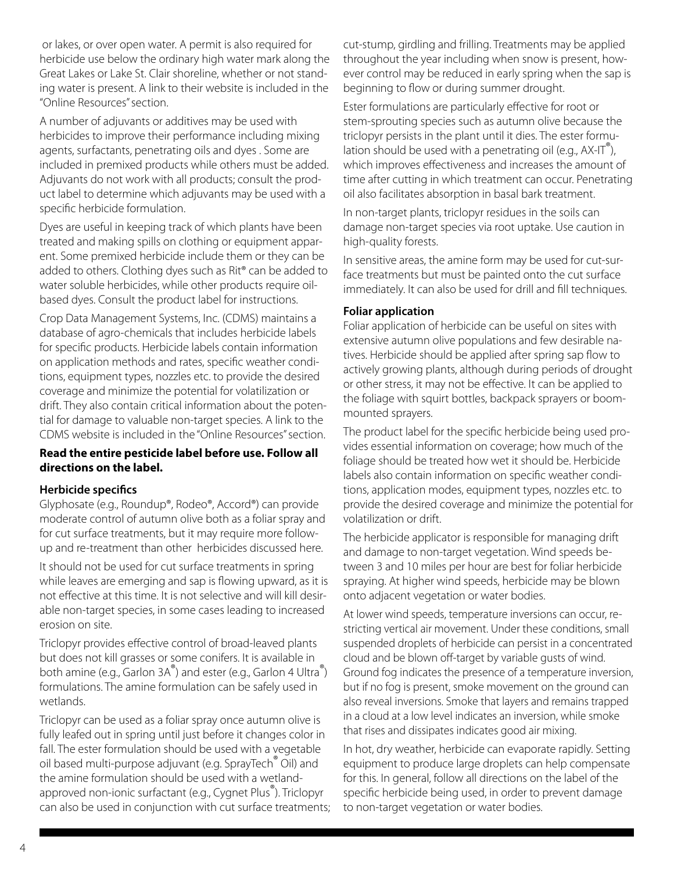or lakes, or over open water. A permit is also required for herbicide use below the ordinary high water mark along the Great Lakes or Lake St. Clair shoreline, whether or not standing water is present. A link to their website is included in the "Online Resources" section.

A number of adjuvants or additives may be used with herbicides to improve their performance including mixing agents, surfactants, penetrating oils and dyes . Some are included in premixed products while others must be added. Adjuvants do not work with all products; consult the product label to determine which adjuvants may be used with a specific herbicide formulation.

Dyes are useful in keeping track of which plants have been treated and making spills on clothing or equipment apparent. Some premixed herbicide include them or they can be added to others. Clothing dyes such as Rit® can be added to water soluble herbicides, while other products require oilbased dyes. Consult the product label for instructions.

Crop Data Management Systems, Inc. (CDMS) maintains a database of agro-chemicals that includes herbicide labels for specific products. Herbicide labels contain information on application methods and rates, specific weather conditions, equipment types, nozzles etc. to provide the desired coverage and minimize the potential for volatilization or drift. They also contain critical information about the potential for damage to valuable non-target species. A link to the CDMS website is included in the "Online Resources" section.

#### **Read the entire pesticide label before use. Follow all directions on the label.**

#### **Herbicide specifics**

Glyphosate (e.g., Roundup®, Rodeo®, Accord®) can provide moderate control of autumn olive both as a foliar spray and for cut surface treatments, but it may require more followup and re-treatment than other herbicides discussed here.

It should not be used for cut surface treatments in spring while leaves are emerging and sap is flowing upward, as it is not effective at this time. It is not selective and will kill desirable non-target species, in some cases leading to increased erosion on site.

Triclopyr provides effective control of broad-leaved plants but does not kill grasses or some conifers. It is available in both amine (e.g., Garlon 3A<sup>®</sup>) and ester (e.g., Garlon 4 Ultra<sup>®</sup>) formulations. The amine formulation can be safely used in wetlands.

Triclopyr can be used as a foliar spray once autumn olive is fully leafed out in spring until just before it changes color in fall. The ester formulation should be used with a vegetable oil based multi-purpose adjuvant (e.g. SprayTech® Oil) and the amine formulation should be used with a wetlandapproved non-ionic surfactant (e.g., Cygnet Plus®). Triclopyr can also be used in conjunction with cut surface treatments; cut-stump, girdling and frilling. Treatments may be applied throughout the year including when snow is present, however control may be reduced in early spring when the sap is beginning to flow or during summer drought.

Ester formulations are particularly effective for root or stem-sprouting species such as autumn olive because the triclopyr persists in the plant until it dies. The ester formulation should be used with a penetrating oil (e.g.,  $AX-T^{\circ}$ ), which improves effectiveness and increases the amount of time after cutting in which treatment can occur. Penetrating oil also facilitates absorption in basal bark treatment.

In non-target plants, triclopyr residues in the soils can damage non-target species via root uptake. Use caution in high-quality forests.

In sensitive areas, the amine form may be used for cut-surface treatments but must be painted onto the cut surface immediately. It can also be used for drill and fill techniques.

#### **Foliar application**

Foliar application of herbicide can be useful on sites with extensive autumn olive populations and few desirable natives. Herbicide should be applied after spring sap flow to actively growing plants, although during periods of drought or other stress, it may not be effective. It can be applied to the foliage with squirt bottles, backpack sprayers or boommounted sprayers.

The product label for the specific herbicide being used provides essential information on coverage; how much of the foliage should be treated how wet it should be. Herbicide labels also contain information on specific weather conditions, application modes, equipment types, nozzles etc. to provide the desired coverage and minimize the potential for volatilization or drift.

The herbicide applicator is responsible for managing drift and damage to non-target vegetation. Wind speeds between 3 and 10 miles per hour are best for foliar herbicide spraying. At higher wind speeds, herbicide may be blown onto adjacent vegetation or water bodies.

At lower wind speeds, temperature inversions can occur, restricting vertical air movement. Under these conditions, small suspended droplets of herbicide can persist in a concentrated cloud and be blown off-target by variable gusts of wind. Ground fog indicates the presence of a temperature inversion, but if no fog is present, smoke movement on the ground can also reveal inversions. Smoke that layers and remains trapped in a cloud at a low level indicates an inversion, while smoke that rises and dissipates indicates good air mixing.

In hot, dry weather, herbicide can evaporate rapidly. Setting equipment to produce large droplets can help compensate for this. In general, follow all directions on the label of the specific herbicide being used, in order to prevent damage to non-target vegetation or water bodies.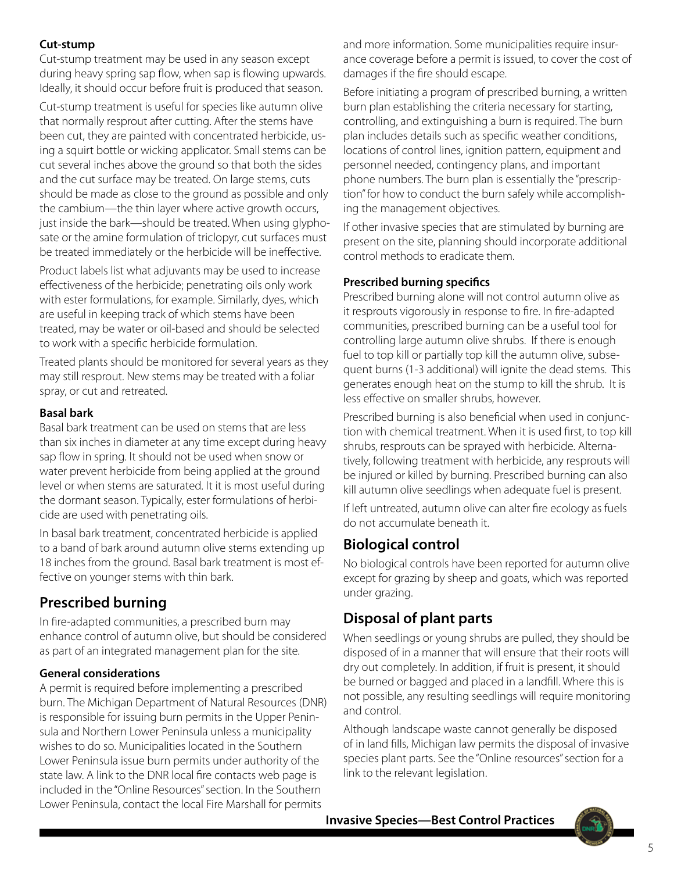#### **Cut-stump**

Cut-stump treatment may be used in any season except during heavy spring sap flow, when sap is flowing upwards. Ideally, it should occur before fruit is produced that season.

Cut-stump treatment is useful for species like autumn olive that normally resprout after cutting. After the stems have been cut, they are painted with concentrated herbicide, using a squirt bottle or wicking applicator. Small stems can be cut several inches above the ground so that both the sides and the cut surface may be treated. On large stems, cuts should be made as close to the ground as possible and only the cambium—the thin layer where active growth occurs, just inside the bark—should be treated. When using glyphosate or the amine formulation of triclopyr, cut surfaces must be treated immediately or the herbicide will be ineffective.

Product labels list what adjuvants may be used to increase effectiveness of the herbicide; penetrating oils only work with ester formulations, for example. Similarly, dyes, which are useful in keeping track of which stems have been treated, may be water or oil-based and should be selected to work with a specific herbicide formulation.

Treated plants should be monitored for several years as they may still resprout. New stems may be treated with a foliar spray, or cut and retreated.

#### **Basal bark**

Basal bark treatment can be used on stems that are less than six inches in diameter at any time except during heavy sap flow in spring. It should not be used when snow or water prevent herbicide from being applied at the ground level or when stems are saturated. It it is most useful during the dormant season. Typically, ester formulations of herbicide are used with penetrating oils.

In basal bark treatment, concentrated herbicide is applied to a band of bark around autumn olive stems extending up 18 inches from the ground. Basal bark treatment is most effective on younger stems with thin bark.

### **Prescribed burning**

In fire-adapted communities, a prescribed burn may enhance control of autumn olive, but should be considered as part of an integrated management plan for the site.

#### **General considerations**

A permit is required before implementing a prescribed burn. The Michigan Department of Natural Resources (DNR) is responsible for issuing burn permits in the Upper Peninsula and Northern Lower Peninsula unless a municipality wishes to do so. Municipalities located in the Southern Lower Peninsula issue burn permits under authority of the state law. A link to the DNR local fire contacts web page is included in the "Online Resources" section. In the Southern Lower Peninsula, contact the local Fire Marshall for permits

and more information. Some municipalities require insurance coverage before a permit is issued, to cover the cost of damages if the fire should escape.

Before initiating a program of prescribed burning, a written burn plan establishing the criteria necessary for starting, controlling, and extinguishing a burn is required. The burn plan includes details such as specific weather conditions, locations of control lines, ignition pattern, equipment and personnel needed, contingency plans, and important phone numbers. The burn plan is essentially the "prescription" for how to conduct the burn safely while accomplishing the management objectives.

If other invasive species that are stimulated by burning are present on the site, planning should incorporate additional control methods to eradicate them.

#### **Prescribed burning specifics**

Prescribed burning alone will not control autumn olive as it resprouts vigorously in response to fire. In fire-adapted communities, prescribed burning can be a useful tool for controlling large autumn olive shrubs. If there is enough fuel to top kill or partially top kill the autumn olive, subsequent burns (1-3 additional) will ignite the dead stems. This generates enough heat on the stump to kill the shrub. It is less effective on smaller shrubs, however.

Prescribed burning is also beneficial when used in conjunction with chemical treatment. When it is used first, to top kill shrubs, resprouts can be sprayed with herbicide. Alternatively, following treatment with herbicide, any resprouts will be injured or killed by burning. Prescribed burning can also kill autumn olive seedlings when adequate fuel is present.

If left untreated, autumn olive can alter fire ecology as fuels do not accumulate beneath it.

### **Biological control**

No biological controls have been reported for autumn olive except for grazing by sheep and goats, which was reported under grazing.

### **Disposal of plant parts**

When seedlings or young shrubs are pulled, they should be disposed of in a manner that will ensure that their roots will dry out completely. In addition, if fruit is present, it should be burned or bagged and placed in a landfill. Where this is not possible, any resulting seedlings will require monitoring and control.

Although landscape waste cannot generally be disposed of in land fills, Michigan law permits the disposal of invasive species plant parts. See the "Online resources" section for a link to the relevant legislation.

**Invasive Species—Best Control Practices**

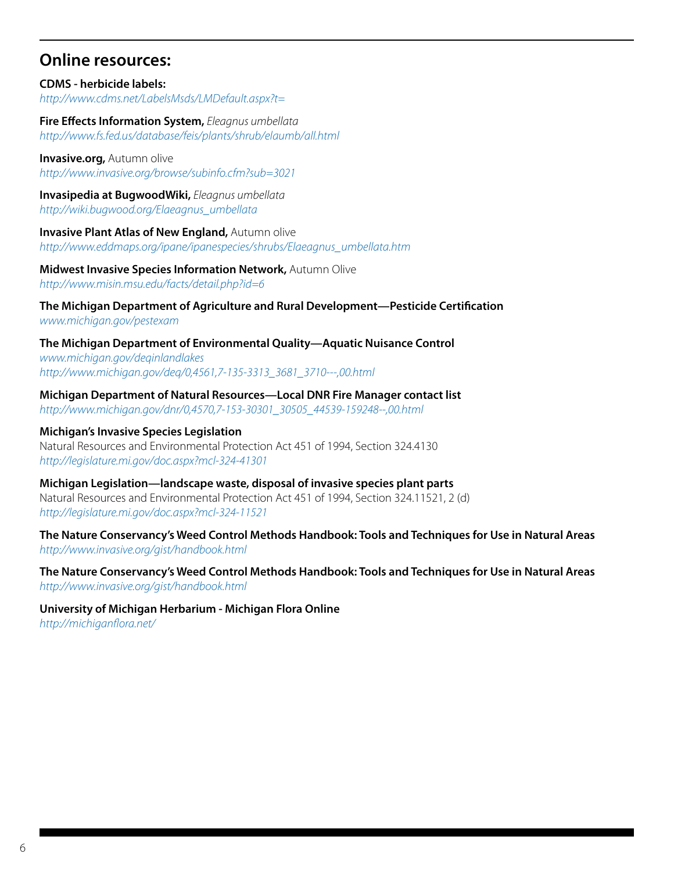### **Online resources:**

**CDMS - herbicide labels:** *http://www.cdms.net/LabelsMsds/LMDefault.aspx?t=*

**Fire Effects Information System,** *Eleagnus umbellata http://www.fs.fed.us/database/feis/plants/shrub/elaumb/all.html*

**Invasive.org, Autumn olive** *http://www.invasive.org/browse/subinfo.cfm?sub=3021*

**Invasipedia at BugwoodWiki,** *Eleagnus umbellata http://wiki.bugwood.org/Elaeagnus\_umbellata*

**Invasive Plant Atlas of New England,** Autumn olive *http://www.eddmaps.org/ipane/ipanespecies/shrubs/Elaeagnus\_umbellata.htm*

**Midwest Invasive Species Information Network,** Autumn Olive *http://www.misin.msu.edu/facts/detail.php?id=6*

**The Michigan Department of Agriculture and Rural Development—Pesticide Certification** *www.michigan.gov/pestexam* 

**The Michigan Department of Environmental Quality—Aquatic Nuisance Control** *www.michigan.gov/deqinlandlakes [http://www.michigan.gov/deq/0,4561,7-135-3313\\_3681\\_3710---,00.html](http://www.michigan.gov/deq/0,4561,7-135-3313_3681_3710---,00.html)*

**Michigan Department of Natural Resources—Local DNR Fire Manager contact list** *[http://www.michigan.gov/dnr/0,4570,7-153-30301\\_30505\\_44539-159248--,00.html](http://www.michigan.gov/dnr/0,4570,7-153-30301_30505_44539-159248--,00.html)*

**Michigan's Invasive Species Legislation** Natural Resources and Environmental Protection Act 451 of 1994, Section 324.4130 *http://legislature.mi.gov/doc.aspx?mcl-324-41301*

**Michigan Legislation—landscape waste, disposal of invasive species plant parts** Natural Resources and Environmental Protection Act 451 of 1994, Section 324.11521, 2 (d) *http://legislature.mi.gov/doc.aspx?mcl-324-11521*

**The Nature Conservancy's Weed Control Methods Handbook: Tools and Techniques for Use in Natural Areas** *http://www.invasive.org/gist/handbook.html*

**The Nature Conservancy's Weed Control Methods Handbook: Tools and Techniques for Use in Natural Areas** *http://www.invasive.org/gist/handbook.html*

**University of Michigan Herbarium - Michigan Flora Online**

*http://michiganflora.net/*